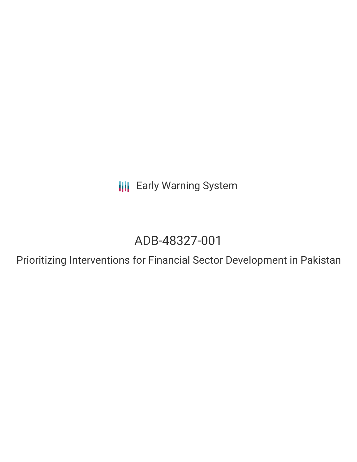**III** Early Warning System

# ADB-48327-001

Prioritizing Interventions for Financial Sector Development in Pakistan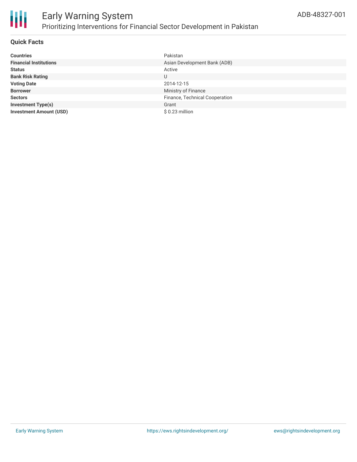

#### **Quick Facts**

| <b>Countries</b>               | Pakistan                       |
|--------------------------------|--------------------------------|
| <b>Financial Institutions</b>  | Asian Development Bank (ADB)   |
| <b>Status</b>                  | Active                         |
| <b>Bank Risk Rating</b>        | U                              |
| <b>Voting Date</b>             | 2014-12-15                     |
| <b>Borrower</b>                | Ministry of Finance            |
| <b>Sectors</b>                 | Finance, Technical Cooperation |
| <b>Investment Type(s)</b>      | Grant                          |
| <b>Investment Amount (USD)</b> | \$0.23 million                 |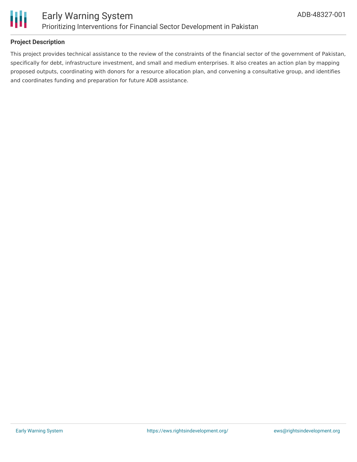

#### **Project Description**

This project provides technical assistance to the review of the constraints of the financial sector of the government of Pakistan, specifically for debt, infrastructure investment, and small and medium enterprises. It also creates an action plan by mapping proposed outputs, coordinating with donors for a resource allocation plan, and convening a consultative group, and identifies and coordinates funding and preparation for future ADB assistance.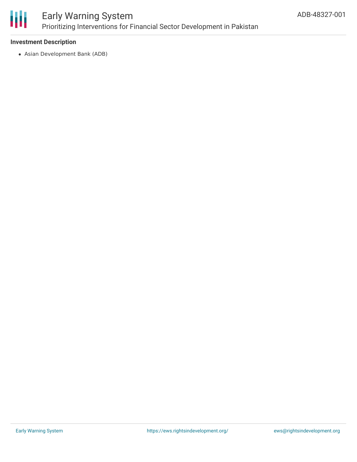

## Early Warning System Prioritizing Interventions for Financial Sector Development in Pakistan

#### **Investment Description**

Asian Development Bank (ADB)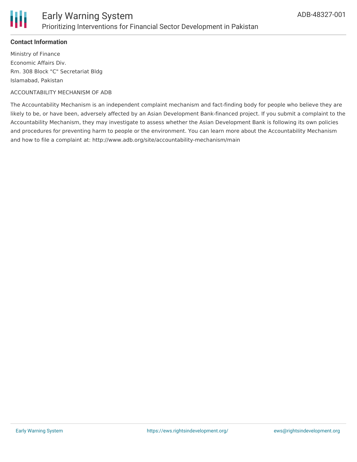

### **Contact Information**

Ministry of Finance Economic Affairs Div. Rm. 308 Block "C" Secretariat Bldg Islamabad, Pakistan

#### ACCOUNTABILITY MECHANISM OF ADB

The Accountability Mechanism is an independent complaint mechanism and fact-finding body for people who believe they are likely to be, or have been, adversely affected by an Asian Development Bank-financed project. If you submit a complaint to the Accountability Mechanism, they may investigate to assess whether the Asian Development Bank is following its own policies and procedures for preventing harm to people or the environment. You can learn more about the Accountability Mechanism and how to file a complaint at: http://www.adb.org/site/accountability-mechanism/main